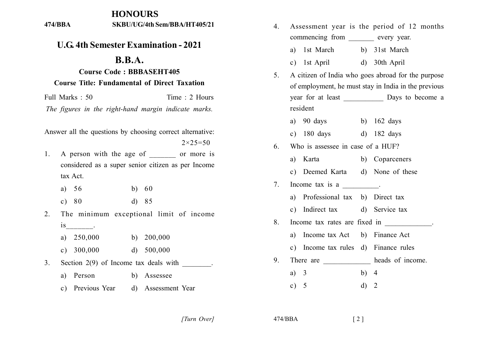| <b>HONOURS</b>                                                                                                                                         |                                                                                                                                  |  |  |  |
|--------------------------------------------------------------------------------------------------------------------------------------------------------|----------------------------------------------------------------------------------------------------------------------------------|--|--|--|
| SKBU/UG/4th Sem/BBA/HT405/21<br>474/BBA                                                                                                                | Assessment year is the period of 12 months<br>4.<br>commencing from _________ every year.                                        |  |  |  |
| <b>U.G. 4th Semester Examination - 2021</b><br><b>B.B.A.</b><br><b>Course Code: BBBASEHT405</b><br><b>Course Title: Fundamental of Direct Taxation</b> | 1st March b) 31st March<br>a)<br>c) 1st April<br>d) 30th April<br>5.<br>A citizen of India who goes abroad for the purpose       |  |  |  |
| Full Marks: 50<br>Time: 2 Hours<br>The figures in the right-hand margin indicate marks.                                                                | of employment, he must stay in India in the previous<br>resident                                                                 |  |  |  |
| Answer all the questions by choosing correct alternative:<br>$2 \times 25 = 50$<br>A person with the age of ________ or more is<br>$1_{\cdot}$         | a) 90 days<br>b) $162 \text{ days}$<br>c) $180 \text{ days}$<br>d) $182 \text{ days}$<br>Who is assessee in case of a HUF?<br>6. |  |  |  |
| considered as a super senior citizen as per Income<br>tax Act.<br>a) $56$<br>b) $60$                                                                   | Karta<br>b) Coparceners<br>a)<br>c) Deemed Karta d) None of these<br>Income tax is a<br>$7_{\scriptscriptstyle{\ddots}}$         |  |  |  |
| c) $80$<br>d) 85<br>The minimum exceptional limit of income<br>2.                                                                                      | a) Professional tax b) Direct tax<br>c) Indirect tax d) Service tax                                                              |  |  |  |
| is<br>$\mathcal{L}^{\text{max}}_{\text{max}}$ .<br>b) $200,000$<br>250,000<br>a)<br>c) $300,000$<br>d) $500,000$                                       | 8.<br>Income tax rates are fixed in<br>a) Income tax Act b) Finance Act<br>c) Income tax rules d) Finance rules                  |  |  |  |
| Section $2(9)$ of Income tax deals with _______.<br>3 <sub>1</sub><br>a) Person<br>b) Assessee<br>c) Previous Year<br>d) Assessment Year               | There are _____________ heads of income.<br>9.<br>a) $3$<br>b) $4$<br>d) 2<br>c) $5$                                             |  |  |  |

[Turn Over]

 $474\allowbreak / \mathrm{BBA}$ 

 $\left[\begin{smallmatrix} 2 \end{smallmatrix}\right]$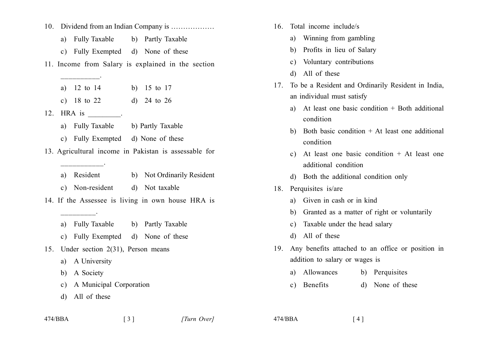- 10. Dividend from an Indian Company is ..................
	- a) Fully Taxable b) Partly Taxable
	- c) Fully Exempted d) None of these
- 11. Income from Salary is explained in the section

|        | a) $12$ to $14$ |  | b) $15$ to $17$ |  |  |  |  |
|--------|-----------------|--|-----------------|--|--|--|--|
|        | c) 18 to 22     |  | d) 24 to 26     |  |  |  |  |
| HRA is |                 |  |                 |  |  |  |  |

- a) Fully Taxable b) Partly Taxable
- c) Fully Exempted d) None of these
- 13. Agricultural income in Pakistan is assessable for
	- a) Resident b) Not Ordinarily Resident
	- c) Non-resident d) Not taxable
- 14. If the Assessee is living in own house HRA is
	- a) Fully Taxable b) Partly Taxable
	- c) Fully Exempted d) None of these
- 15. Under section 2(31), Person means
	- a) A University
	- A Society b)

12.

- A Municipal Corporation  $c)$
- All of these d)
	-

 $474/BBA$ 

 $\lceil 3 \rceil$ 

- 16. Total income include/s
	- a) Winning from gambling
	- b) Profits in lieu of Salary
	- Voluntary contributions  $c)$
	- All of these d)
- 17. To be a Resident and Ordinarily Resident in India, an individual must satisfy
	- a) At least one basic condition  $+$  Both additional condition
	- b) Both basic condition  $+$  At least one additional condition
	- c) At least one basic condition  $+$  At least one additional condition
	- d) Both the additional condition only
- 18. Perquisites is/are
	- a) Given in cash or in kind
	- b) Granted as a matter of right or voluntarily
	- Taxable under the head salary  $c)$
	- All of these  $\mathcal{L}$

 $474/BBA$ 

- 19. Any benefits attached to an office or position in addition to salary or wages is
	- a) Allowances b) Perquisites
	- c) Benefits d) None of these

 $\lceil 4 \rceil$